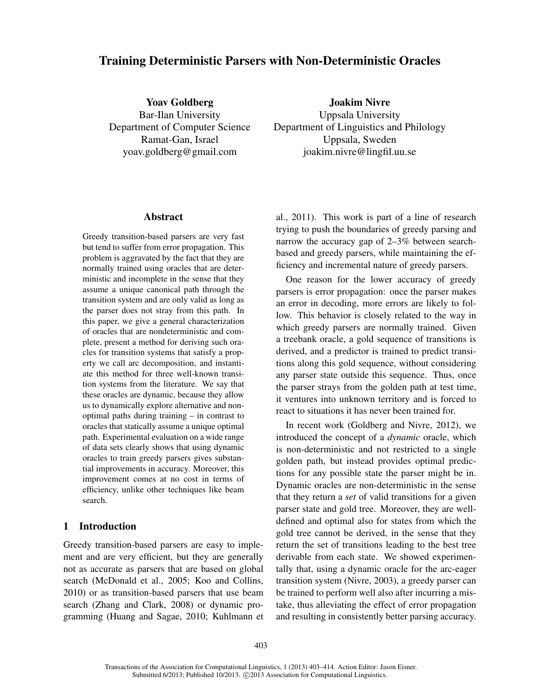# Training Deterministic Parsers with Non-Deterministic Oracles

Yoav Goldberg Bar-Ilan University Department of Computer Science Ramat-Gan, Israel yoav.goldberg@gmail.com

Joakim Nivre Uppsala University Department of Linguistics and Philology Uppsala, Sweden joakim.nivre@lingfil.uu.se

## Abstract

Greedy transition-based parsers are very fast but tend to suffer from error propagation. This problem is aggravated by the fact that they are normally trained using oracles that are deterministic and incomplete in the sense that they assume a unique canonical path through the transition system and are only valid as long as the parser does not stray from this path. In this paper, we give a general characterization of oracles that are nondeterministic and complete, present a method for deriving such oracles for transition systems that satisfy a property we call arc decomposition, and instantiate this method for three well-known transition systems from the literature. We say that these oracles are dynamic, because they allow us to dynamically explore alternative and nonoptimal paths during training – in contrast to oracles that statically assume a unique optimal path. Experimental evaluation on a wide range of data sets clearly shows that using dynamic oracles to train greedy parsers gives substantial improvements in accuracy. Moreover, this improvement comes at no cost in terms of efficiency, unlike other techniques like beam search.

## 1 Introduction

Greedy transition-based parsers are easy to implement and are very efficient, but they are generally not as accurate as parsers that are based on global search (McDonald et al., 2005; Koo and Collins, 2010) or as transition-based parsers that use beam search (Zhang and Clark, 2008) or dynamic programming (Huang and Sagae, 2010; Kuhlmann et al., 2011). This work is part of a line of research trying to push the boundaries of greedy parsing and narrow the accuracy gap of 2–3% between searchbased and greedy parsers, while maintaining the efficiency and incremental nature of greedy parsers.

One reason for the lower accuracy of greedy parsers is error propagation: once the parser makes an error in decoding, more errors are likely to follow. This behavior is closely related to the way in which greedy parsers are normally trained. Given a treebank oracle, a gold sequence of transitions is derived, and a predictor is trained to predict transitions along this gold sequence, without considering any parser state outside this sequence. Thus, once the parser strays from the golden path at test time, it ventures into unknown territory and is forced to react to situations it has never been trained for.

In recent work (Goldberg and Nivre, 2012), we introduced the concept of a *dynamic* oracle, which is non-deterministic and not restricted to a single golden path, but instead provides optimal predictions for any possible state the parser might be in. Dynamic oracles are non-deterministic in the sense that they return a *set* of valid transitions for a given parser state and gold tree. Moreover, they are welldefined and optimal also for states from which the gold tree cannot be derived, in the sense that they return the set of transitions leading to the best tree derivable from each state. We showed experimentally that, using a dynamic oracle for the arc-eager transition system (Nivre, 2003), a greedy parser can be trained to perform well also after incurring a mistake, thus alleviating the effect of error propagation and resulting in consistently better parsing accuracy.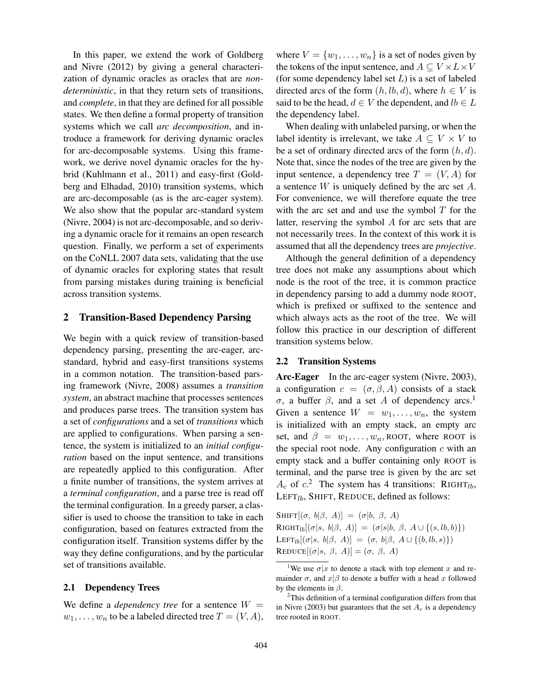In this paper, we extend the work of Goldberg and Nivre (2012) by giving a general characterization of dynamic oracles as oracles that are *nondeterministic*, in that they return sets of transitions, and *complete*, in that they are defined for all possible states. We then define a formal property of transition systems which we call *arc decomposition*, and introduce a framework for deriving dynamic oracles for arc-decomposable systems. Using this framework, we derive novel dynamic oracles for the hybrid (Kuhlmann et al., 2011) and easy-first (Goldberg and Elhadad, 2010) transition systems, which are arc-decomposable (as is the arc-eager system). We also show that the popular arc-standard system (Nivre, 2004) is not arc-decomposable, and so deriving a dynamic oracle for it remains an open research question. Finally, we perform a set of experiments on the CoNLL 2007 data sets, validating that the use of dynamic oracles for exploring states that result from parsing mistakes during training is beneficial across transition systems.

## 2 Transition-Based Dependency Parsing

We begin with a quick review of transition-based dependency parsing, presenting the arc-eager, arcstandard, hybrid and easy-first transitions systems in a common notation. The transition-based parsing framework (Nivre, 2008) assumes a *transition system*, an abstract machine that processes sentences and produces parse trees. The transition system has a set of *configurations* and a set of *transitions* which are applied to configurations. When parsing a sentence, the system is initialized to an *initial configuration* based on the input sentence, and transitions are repeatedly applied to this configuration. After a finite number of transitions, the system arrives at a *terminal configuration*, and a parse tree is read off the terminal configuration. In a greedy parser, a classifier is used to choose the transition to take in each configuration, based on features extracted from the configuration itself. Transition systems differ by the way they define configurations, and by the particular set of transitions available.

### 2.1 Dependency Trees

We define a *dependency tree* for a sentence  $W =$  $w_1, \ldots, w_n$  to be a labeled directed tree  $T = (V, A)$ , where  $V = \{w_1, \ldots, w_n\}$  is a set of nodes given by the tokens of the input sentence, and  $A \subseteq V \times L \times V$ (for some dependency label set  $L$ ) is a set of labeled directed arcs of the form  $(h, lb, d)$ , where  $h \in V$  is said to be the head,  $d \in V$  the dependent, and  $lb \in L$ the dependency label.

When dealing with unlabeled parsing, or when the label identity is irrelevant, we take  $A \subseteq V \times V$  to be a set of ordinary directed arcs of the form  $(h, d)$ . Note that, since the nodes of the tree are given by the input sentence, a dependency tree  $T = (V, A)$  for a sentence  $W$  is uniquely defined by the arc set  $A$ . For convenience, we will therefore equate the tree with the arc set and and use the symbol  $T$  for the latter, reserving the symbol A for arc sets that are not necessarily trees. In the context of this work it is assumed that all the dependency trees are *projective*.

Although the general definition of a dependency tree does not make any assumptions about which node is the root of the tree, it is common practice in dependency parsing to add a dummy node ROOT, which is prefixed or suffixed to the sentence and which always acts as the root of the tree. We will follow this practice in our description of different transition systems below.

### 2.2 Transition Systems

Arc-Eager In the arc-eager system (Nivre, 2003), a configuration  $c = (\sigma, \beta, A)$  consists of a stack σ, a buffer  $\beta$ , and a set A of dependency arcs.<sup>1</sup> Given a sentence  $W = w_1, \ldots, w_n$ , the system is initialized with an empty stack, an empty arc set, and  $\beta = w_1, \ldots, w_n$ , ROOT, where ROOT is the special root node. Any configuration  $c$  with an empty stack and a buffer containing only ROOT is terminal, and the parse tree is given by the arc set  $A_c$  of  $c$ <sup>2</sup>. The system has 4 transitions: RIGHT<sub>lb</sub>, LEFT $_{lb}$ , SHIFT, REDUCE, defined as follows:

SHIFT $[(\sigma, b|\beta, A)] = (\sigma|b, \beta, A)$ RIGHT<sub>lb</sub> $[(\sigma|s, b|\beta, A)] = (\sigma|s|b, \beta, A \cup \{(s, lb, b)\})$ LEFT<sub>lb</sub>[( $\sigma$ |s, b| $\beta$ , A)] = ( $\sigma$ , b| $\beta$ , A  $\cup$  {( $b$ , l $b$ , s)})  $REDUCE[(\sigma|s, \beta, A)] = (\sigma, \beta, A)$ 

<sup>&</sup>lt;sup>1</sup>We use  $\sigma | x$  to denote a stack with top element x and remainder  $\sigma$ , and  $x|\beta$  to denote a buffer with a head x followed by the elements in  $\beta$ .

<sup>&</sup>lt;sup>2</sup>This definition of a terminal configuration differs from that in Nivre (2003) but guarantees that the set  $A_c$  is a dependency tree rooted in ROOT.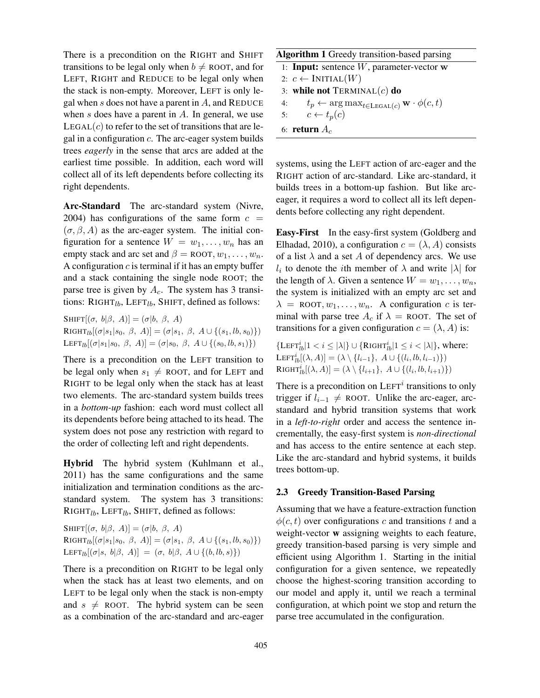There is a precondition on the RIGHT and SHIFT transitions to be legal only when  $b \neq$  ROOT, and for LEFT, RIGHT and REDUCE to be legal only when the stack is non-empty. Moreover, LEFT is only legal when s does not have a parent in  $A$ , and REDUCE when  $s$  does have a parent in  $A$ . In general, we use  $LEGAL(c)$  to refer to the set of transitions that are legal in a configuration c. The arc-eager system builds trees *eagerly* in the sense that arcs are added at the earliest time possible. In addition, each word will collect all of its left dependents before collecting its right dependents.

Arc-Standard The arc-standard system (Nivre, 2004) has configurations of the same form  $c =$  $(\sigma, \beta, A)$  as the arc-eager system. The initial configuration for a sentence  $W = w_1, \dots, w_n$  has an empty stack and arc set and  $\beta =$  ROOT,  $w_1, \ldots, w_n$ . A configuration  $c$  is terminal if it has an empty buffer and a stack containing the single node ROOT; the parse tree is given by  $A_c$ . The system has 3 transitions: RIGHT $_{lb}$ , LEFT $_{lb}$ , SHIFT, defined as follows:

SHIFT $[(\sigma, b|\beta, A)] = (\sigma|b, \beta, A)$ RIGHT<sub>lb</sub>[( $\sigma |s_1|s_0, \beta, A$ )] = ( $\sigma |s_1, \beta, A \cup \{(s_1, lb, s_0)\}\$ ) LEFT<sub>lb</sub>[( $\sigma | s_1 | s_0, \beta, A$ )] = ( $\sigma | s_0, \beta, A \cup \{(s_0, lb, s_1)\})$ 

There is a precondition on the LEFT transition to be legal only when  $s_1 \neq$  ROOT, and for LEFT and RIGHT to be legal only when the stack has at least two elements. The arc-standard system builds trees in a *bottom-up* fashion: each word must collect all its dependents before being attached to its head. The system does not pose any restriction with regard to the order of collecting left and right dependents.

Hybrid The hybrid system (Kuhlmann et al., 2011) has the same configurations and the same initialization and termination conditions as the arcstandard system. The system has 3 transitions:  $RIGHT<sub>lb</sub>, LEFT<sub>lb</sub>, SHIFT, defined as follows:$ 

SHIFT $[(\sigma, b|\beta, A)] = (\sigma|b, \beta, A)$ RIGHT<sub>lb</sub>[( $\sigma |s_1|s_0, \beta, A$ )] = ( $\sigma |s_1, \beta, A \cup \{(s_1, lb, s_0)\}\$ ) LEFT<sub>lb</sub>[( $\sigma$ |s, b| $\beta$ , A)] = ( $\sigma$ , b| $\beta$ , A  $\cup$  {( $b$ , l $b$ , s)})

There is a precondition on RIGHT to be legal only when the stack has at least two elements, and on LEFT to be legal only when the stack is non-empty and  $s \neq$  ROOT. The hybrid system can be seen as a combination of the arc-standard and arc-eager

## Algorithm 1 Greedy transition-based parsing

1: **Input:** sentence  $W$ , parameter-vector  $w$ 

- 2:  $c \leftarrow \text{INITIAL}(W)$
- 3: while not  $TERMINAL(c)$  do
- 4:  $t_p \leftarrow \arg \max_{t \in \text{LEGAL}(c)} \mathbf{w} \cdot \phi(c, t)$ <br>5:  $c \leftarrow t_p(c)$ 
	- $c \leftarrow t_p(c)$
- 6: return  $A_c$

systems, using the LEFT action of arc-eager and the RIGHT action of arc-standard. Like arc-standard, it builds trees in a bottom-up fashion. But like arceager, it requires a word to collect all its left dependents before collecting any right dependent.

Easy-First In the easy-first system (Goldberg and Elhadad, 2010), a configuration  $c = (\lambda, A)$  consists of a list  $\lambda$  and a set A of dependency arcs. We use  $l_i$  to denote the *i*th member of  $\lambda$  and write  $|\lambda|$  for the length of  $\lambda$ . Given a sentence  $W = w_1, \ldots, w_n$ , the system is initialized with an empty arc set and  $\lambda$  = ROOT,  $w_1, \ldots, w_n$ . A configuration c is terminal with parse tree  $A_c$  if  $\lambda$  = ROOT. The set of transitions for a given configuration  $c = (\lambda, A)$  is:

 $\{\text{LEFT}_{lb}^i | 1 < i \le |\lambda|\} \cup \{\text{RIGHT}_{lb}^i | 1 \le i < |\lambda|\}, \text{ where: }$ LEFT $i_b[(\lambda, A)] = (\lambda \setminus \{l_{i-1}\}, A \cup \{(l_i, lb, l_{i-1})\})$ RIGHT $i_b[(\lambda, A)] = (\lambda \setminus \{l_{i+1}\}, A \cup \{(l_i, lb, l_{i+1})\})$ 

There is a precondition on  $LEFT<sup>i</sup>$  transitions to only trigger if  $l_{i-1} \neq$  ROOT. Unlike the arc-eager, arcstandard and hybrid transition systems that work in a *left-to-right* order and access the sentence incrementally, the easy-first system is *non-directional* and has access to the entire sentence at each step. Like the arc-standard and hybrid systems, it builds trees bottom-up.

## 2.3 Greedy Transition-Based Parsing

Assuming that we have a feature-extraction function  $\phi(c, t)$  over configurations c and transitions t and a weight-vector w assigning weights to each feature, greedy transition-based parsing is very simple and efficient using Algorithm 1. Starting in the initial configuration for a given sentence, we repeatedly choose the highest-scoring transition according to our model and apply it, until we reach a terminal configuration, at which point we stop and return the parse tree accumulated in the configuration.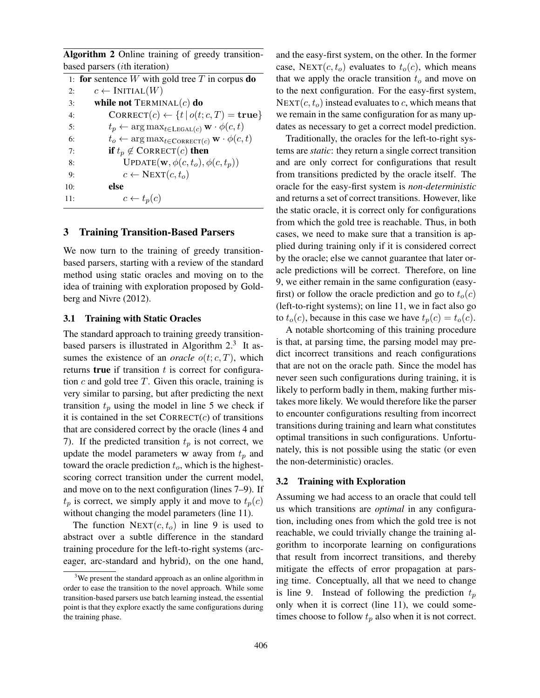Algorithm 2 Online training of greedy transitionbased parsers (ith iteration)

|     | 1: for sentence W with gold tree T in corpus do                                  |
|-----|----------------------------------------------------------------------------------|
| 2:  | $c \leftarrow \text{INITIAL}(W)$                                                 |
| 3:  | while not $TERMINAL(c)$ do                                                       |
| 4:  | CORRECT $(c) \leftarrow \{t   o(t; c, T) = \text{true}\}\$                       |
| 5:  | $t_p \leftarrow \arg \max_{t \in \text{LEGAL}(c)} \mathbf{w} \cdot \phi(c, t)$   |
| 6:  | $t_o \leftarrow \arg \max_{t \in \text{CORRECT}(c)} \mathbf{w} \cdot \phi(c, t)$ |
| 7:  | <b>if</b> $t_p \notin \text{CORRECT}(c)$ then                                    |
| 8:  | UPDATE $(\mathbf{w}, \phi(c, t_o), \phi(c, t_n))$                                |
| 9:  | $c \leftarrow \text{NEXT}(c, t_o)$                                               |
| 10: | else                                                                             |
| 11: | $c \leftarrow t_p(c)$                                                            |
|     |                                                                                  |

## 3 Training Transition-Based Parsers

We now turn to the training of greedy transitionbased parsers, starting with a review of the standard method using static oracles and moving on to the idea of training with exploration proposed by Goldberg and Nivre (2012).

## 3.1 Training with Static Oracles

The standard approach to training greedy transitionbased parsers is illustrated in Algorithm  $2<sup>3</sup>$  It assumes the existence of an *oracle*  $o(t; c, T)$ , which returns true if transition  $t$  is correct for configuration  $c$  and gold tree  $T$ . Given this oracle, training is very similar to parsing, but after predicting the next transition  $t_p$  using the model in line 5 we check if it is contained in the set  $CORRECT(c)$  of transitions that are considered correct by the oracle (lines 4 and 7). If the predicted transition  $t_p$  is not correct, we update the model parameters  $w$  away from  $t_p$  and toward the oracle prediction  $t_o$ , which is the highestscoring correct transition under the current model, and move on to the next configuration (lines 7–9). If  $t_p$  is correct, we simply apply it and move to  $t_p(c)$ without changing the model parameters (line 11).

The function  $NEXT(c, t_o)$  in line 9 is used to abstract over a subtle difference in the standard training procedure for the left-to-right systems (arceager, arc-standard and hybrid), on the one hand, and the easy-first system, on the other. In the former case, NEXT $(c, t_o)$  evaluates to  $t_o(c)$ , which means that we apply the oracle transition  $t<sub>o</sub>$  and move on to the next configuration. For the easy-first system,  $NEXT(c, t_o)$  instead evaluates to c, which means that we remain in the same configuration for as many updates as necessary to get a correct model prediction.

Traditionally, the oracles for the left-to-right systems are *static*: they return a single correct transition and are only correct for configurations that result from transitions predicted by the oracle itself. The oracle for the easy-first system is *non-deterministic* and returns a set of correct transitions. However, like the static oracle, it is correct only for configurations from which the gold tree is reachable. Thus, in both cases, we need to make sure that a transition is applied during training only if it is considered correct by the oracle; else we cannot guarantee that later oracle predictions will be correct. Therefore, on line 9, we either remain in the same configuration (easyfirst) or follow the oracle prediction and go to  $t_o(c)$ (left-to-right systems); on line 11, we in fact also go to  $t_o(c)$ , because in this case we have  $t_p(c) = t_o(c)$ .

A notable shortcoming of this training procedure is that, at parsing time, the parsing model may predict incorrect transitions and reach configurations that are not on the oracle path. Since the model has never seen such configurations during training, it is likely to perform badly in them, making further mistakes more likely. We would therefore like the parser to encounter configurations resulting from incorrect transitions during training and learn what constitutes optimal transitions in such configurations. Unfortunately, this is not possible using the static (or even the non-deterministic) oracles.

### 3.2 Training with Exploration

Assuming we had access to an oracle that could tell us which transitions are *optimal* in any configuration, including ones from which the gold tree is not reachable, we could trivially change the training algorithm to incorporate learning on configurations that result from incorrect transitions, and thereby mitigate the effects of error propagation at parsing time. Conceptually, all that we need to change is line 9. Instead of following the prediction  $t_p$ only when it is correct (line 11), we could sometimes choose to follow  $t_p$  also when it is not correct.

<sup>&</sup>lt;sup>3</sup>We present the standard approach as an online algorithm in order to ease the transition to the novel approach. While some transition-based parsers use batch learning instead, the essential point is that they explore exactly the same configurations during the training phase.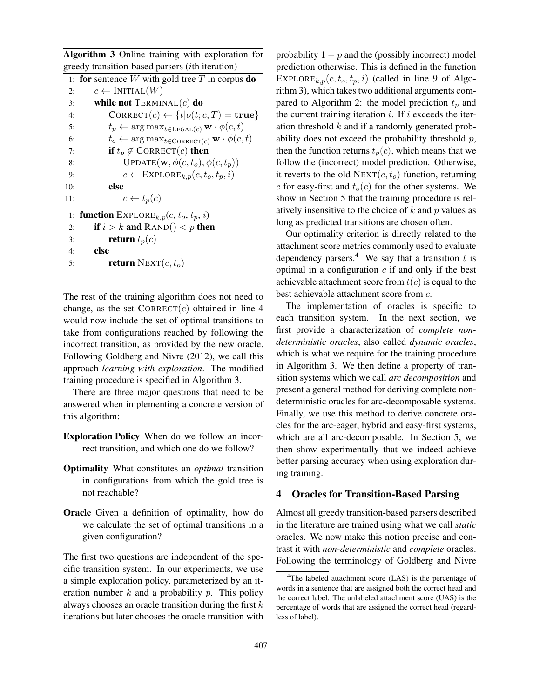Algorithm 3 Online training with exploration for greedy transition-based parsers (ith iteration)

```
1: for sentence W with gold tree T in corpus do
 2: c \leftarrow \text{INITIAL}(W)<br>3: while not TERMIN
            while not TERMINAL(c) do
 4: CORRECT(c) \leftarrow \{t | o(t; c, T) = \text{true} \}<br>5: t_n \leftarrow \arg \max_{t \in \text{IGM}(c)} \mathbf{W} \cdot \phi(c, t)5: t_p \leftarrow \arg \max_{t \in \text{LEGAL}(c)} \mathbf{w} \cdot \phi(c, t)<br>6: t_o \leftarrow \arg \max_{t \in \text{COPBET}(c)} \mathbf{w} \cdot \phi(c, t)6: t_o \leftarrow \arg \max_{t \in \text{CORRECT}(c)} \mathbf{w} \cdot \phi(c, t)<br>7: if t_n \notin \text{CORRECT}(c) then
 7: if t_p \notin \text{CORRECT}(c) then<br>8: UPDATE(w, \phi(c, t_o), \phi(c, t_o))
                        UPDATE(\mathbf{w}, \phi(c, t_o), \phi(c, t_p))9: c \leftarrow \text{EXPLORE}_{k,p}(c, t_o, t_p, i)10: else
11: c \leftarrow t_p(c)1: function \text{EXPLORE}_{k,p}(c, t_o, t_p, i)2: if i > k and RAND() < p then
 3: return t_p(c)4: else
 5: return NEXT(c, t_o)
```
The rest of the training algorithm does not need to change, as the set  $CORRECT(c)$  obtained in line 4 would now include the set of optimal transitions to take from configurations reached by following the incorrect transition, as provided by the new oracle. Following Goldberg and Nivre (2012), we call this approach *learning with exploration*. The modified training procedure is specified in Algorithm 3.

There are three major questions that need to be answered when implementing a concrete version of this algorithm:

- Exploration Policy When do we follow an incorrect transition, and which one do we follow?
- Optimality What constitutes an *optimal* transition in configurations from which the gold tree is not reachable?
- Oracle Given a definition of optimality, how do we calculate the set of optimal transitions in a given configuration?

The first two questions are independent of the specific transition system. In our experiments, we use a simple exploration policy, parameterized by an iteration number  $k$  and a probability  $p$ . This policy always chooses an oracle transition during the first  $k$ iterations but later chooses the oracle transition with

probability  $1 - p$  and the (possibly incorrect) model prediction otherwise. This is defined in the function EXPLORE<sub>k,p</sub> $(c, t_o, t_p, i)$  (called in line 9 of Algorithm 3), which takes two additional arguments compared to Algorithm 2: the model prediction  $t_p$  and the current training iteration  $i$ . If  $i$  exceeds the iteration threshold  $k$  and if a randomly generated probability does not exceed the probability threshold  $p$ , then the function returns  $t_p(c)$ , which means that we follow the (incorrect) model prediction. Otherwise, it reverts to the old  $NEXT(c, t_o)$  function, returning c for easy-first and  $t_o(c)$  for the other systems. We show in Section 5 that the training procedure is relatively insensitive to the choice of  $k$  and  $p$  values as long as predicted transitions are chosen often.

Our optimality criterion is directly related to the attachment score metrics commonly used to evaluate dependency parsers.<sup>4</sup> We say that a transition  $t$  is optimal in a configuration  $c$  if and only if the best achievable attachment score from  $t(c)$  is equal to the best achievable attachment score from c.

The implementation of oracles is specific to each transition system. In the next section, we first provide a characterization of *complete nondeterministic oracles*, also called *dynamic oracles*, which is what we require for the training procedure in Algorithm 3. We then define a property of transition systems which we call *arc decomposition* and present a general method for deriving complete nondeterministic oracles for arc-decomposable systems. Finally, we use this method to derive concrete oracles for the arc-eager, hybrid and easy-first systems, which are all arc-decomposable. In Section 5, we then show experimentally that we indeed achieve better parsing accuracy when using exploration during training.

## 4 Oracles for Transition-Based Parsing

Almost all greedy transition-based parsers described in the literature are trained using what we call *static* oracles. We now make this notion precise and contrast it with *non-deterministic* and *complete* oracles. Following the terminology of Goldberg and Nivre

<sup>&</sup>lt;sup>4</sup>The labeled attachment score (LAS) is the percentage of words in a sentence that are assigned both the correct head and the correct label. The unlabeled attachment score (UAS) is the percentage of words that are assigned the correct head (regardless of label).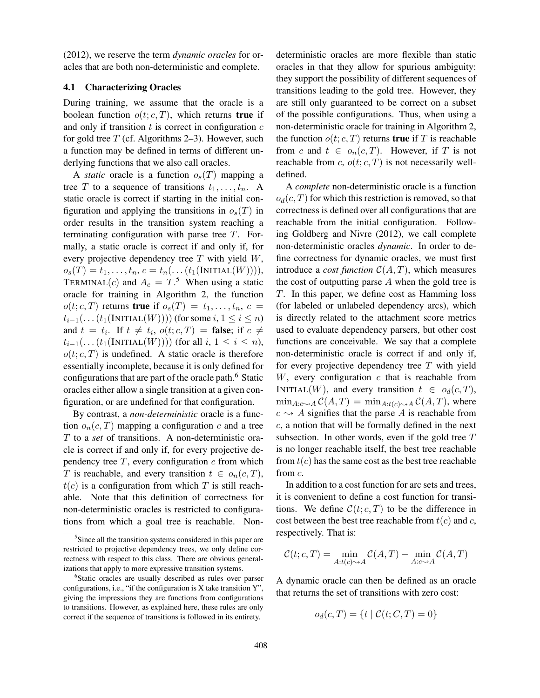(2012), we reserve the term *dynamic oracles* for oracles that are both non-deterministic and complete.

## 4.1 Characterizing Oracles

During training, we assume that the oracle is a boolean function  $o(t; c, T)$ , which returns true if and only if transition  $t$  is correct in configuration  $c$ for gold tree  $T$  (cf. Algorithms 2–3). However, such a function may be defined in terms of different underlying functions that we also call oracles.

A *static* oracle is a function  $o_s(T)$  mapping a tree T to a sequence of transitions  $t_1, \ldots, t_n$ . A static oracle is correct if starting in the initial configuration and applying the transitions in  $o_s(T)$  in order results in the transition system reaching a terminating configuration with parse tree  $T$ . Formally, a static oracle is correct if and only if, for every projective dependency tree  $T$  with yield  $W$ ,  $o_s(T) = t_1, ..., t_n, c = t_n(...(t_1(INTIAL(W)))),$ TERMINAL(c) and  $A_c = T$ .<sup>5</sup> When using a static oracle for training in Algorithm 2, the function  $o(t; c, T)$  returns true if  $o_s(T) = t_1, \ldots, t_n, c =$  $t_{i-1}(\ldots(t_1(\text{INITIAL}(W))))$  (for some  $i, 1 \leq i \leq n$ ) and  $t = t_i$ . If  $t \neq t_i$ ,  $o(t; c, T) =$  false; if  $c \neq$  $t_{i-1}(\ldots(t_1(\text{INITIAL}(W))))$  (for all  $i, 1 \leq i \leq n$ ),  $o(t; c, T)$  is undefined. A static oracle is therefore essentially incomplete, because it is only defined for configurations that are part of the oracle path.<sup>6</sup> Static oracles either allow a single transition at a given configuration, or are undefined for that configuration.

By contrast, a *non-deterministic* oracle is a function  $o_n(c,T)$  mapping a configuration c and a tree T to a *set* of transitions. A non-deterministic oracle is correct if and only if, for every projective dependency tree  $T$ , every configuration  $c$  from which T is reachable, and every transition  $t \in o_n(c,T)$ ,  $t(c)$  is a configuration from which T is still reachable. Note that this definition of correctness for non-deterministic oracles is restricted to configurations from which a goal tree is reachable. Nondeterministic oracles are more flexible than static oracles in that they allow for spurious ambiguity: they support the possibility of different sequences of transitions leading to the gold tree. However, they are still only guaranteed to be correct on a subset of the possible configurations. Thus, when using a non-deterministic oracle for training in Algorithm 2, the function  $o(t; c, T)$  returns **true** if T is reachable from c and  $t \in o_n(c,T)$ . However, if T is not reachable from c,  $o(t; c, T)$  is not necessarily welldefined.

A *complete* non-deterministic oracle is a function  $o_d(c,T)$  for which this restriction is removed, so that correctness is defined over all configurations that are reachable from the initial configuration. Following Goldberg and Nivre (2012), we call complete non-deterministic oracles *dynamic*. In order to define correctness for dynamic oracles, we must first introduce a *cost function*  $C(A, T)$ , which measures the cost of outputting parse  $A$  when the gold tree is T. In this paper, we define cost as Hamming loss (for labeled or unlabeled dependency arcs), which is directly related to the attachment score metrics used to evaluate dependency parsers, but other cost functions are conceivable. We say that a complete non-deterministic oracle is correct if and only if, for every projective dependency tree  $T$  with yield  $W$ , every configuration  $c$  that is reachable from INITIAL(W), and every transition  $t \in o_d(c,T)$ ,  $\min_{A: c \sim A} C(A, T) = \min_{A: t(c) \sim A} C(A, T)$ , where  $c \rightarrow A$  signifies that the parse A is reachable from c, a notion that will be formally defined in the next subsection. In other words, even if the gold tree  $T$ is no longer reachable itself, the best tree reachable from  $t(c)$  has the same cost as the best tree reachable from c.

In addition to a cost function for arc sets and trees, it is convenient to define a cost function for transitions. We define  $\mathcal{C}(t; c, T)$  to be the difference in cost between the best tree reachable from  $t(c)$  and c, respectively. That is:

$$
\mathcal{C}(t; c, T) = \min_{A: t(c) \sim A} \mathcal{C}(A, T) - \min_{A: c \sim A} \mathcal{C}(A, T)
$$

A dynamic oracle can then be defined as an oracle that returns the set of transitions with zero cost:

$$
o_d(c, T) = \{ t \mid C(t; C, T) = 0 \}
$$

<sup>&</sup>lt;sup>5</sup>Since all the transition systems considered in this paper are restricted to projective dependency trees, we only define correctness with respect to this class. There are obvious generalizations that apply to more expressive transition systems.

<sup>6</sup> Static oracles are usually described as rules over parser configurations, i.e., "if the configuration is X take transition Y", giving the impressions they are functions from configurations to transitions. However, as explained here, these rules are only correct if the sequence of transitions is followed in its entirety.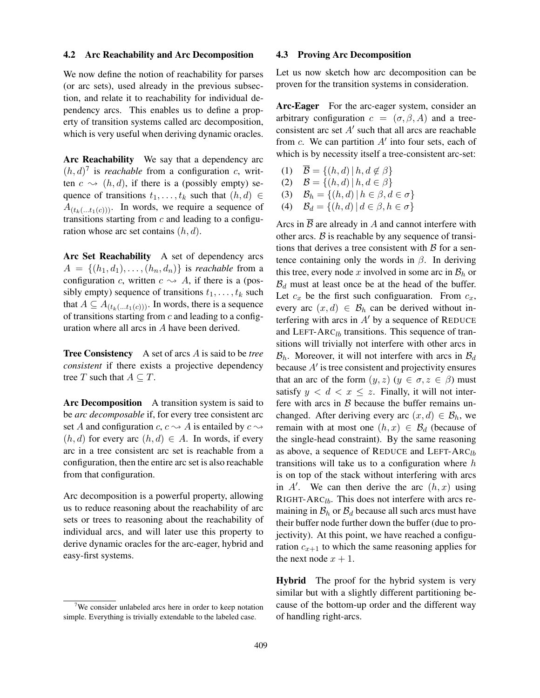### 4.2 Arc Reachability and Arc Decomposition

We now define the notion of reachability for parses (or arc sets), used already in the previous subsection, and relate it to reachability for individual dependency arcs. This enables us to define a property of transition systems called arc decomposition, which is very useful when deriving dynamic oracles.

Arc Reachability We say that a dependency arc  $(h, d)$ <sup>7</sup> is *reachable* from a configuration *c*, written  $c \rightarrow (h, d)$ , if there is a (possibly empty) sequence of transitions  $t_1, \ldots, t_k$  such that  $(h, d) \in$  $A_{(t_k(\ldots t_1(c)))}$ . In words, we require a sequence of transitions starting from  $c$  and leading to a configuration whose arc set contains  $(h, d)$ .

Arc Set Reachability A set of dependency arcs  $A = \{(h_1, d_1), \ldots, (h_n, d_n)\}\$ is *reachable* from a configuration c, written  $c \rightarrow A$ , if there is a (possibly empty) sequence of transitions  $t_1, \ldots, t_k$  such that  $A \subseteq A_{(t_k(\ldots t_1(c)))}$ . In words, there is a sequence of transitions starting from  $c$  and leading to a configuration where all arcs in A have been derived.

Tree Consistency A set of arcs A is said to be *tree consistent* if there exists a projective dependency tree T such that  $A \subseteq T$ .

Arc Decomposition A transition system is said to be *arc decomposable* if, for every tree consistent arc set A and configuration c,  $c \rightarrow A$  is entailed by  $c \rightarrow$  $(h, d)$  for every arc  $(h, d) \in A$ . In words, if every arc in a tree consistent arc set is reachable from a configuration, then the entire arc set is also reachable from that configuration.

Arc decomposition is a powerful property, allowing us to reduce reasoning about the reachability of arc sets or trees to reasoning about the reachability of individual arcs, and will later use this property to derive dynamic oracles for the arc-eager, hybrid and easy-first systems.

### 4.3 Proving Arc Decomposition

Let us now sketch how arc decomposition can be proven for the transition systems in consideration.

Arc-Eager For the arc-eager system, consider an arbitrary configuration  $c = (\sigma, \beta, A)$  and a treeconsistent arc set  $A'$  such that all arcs are reachable from c. We can partition  $A'$  into four sets, each of which is by necessity itself a tree-consistent arc-set:

- (1)  $\overline{\mathcal{B}} = \{(h, d) | h, d \notin \beta\}$
- (2)  $\mathcal{B} = \{(h, d) | h, d \in \beta\}$

$$
(3) \quad \mathcal{B}_h = \{(h, d) \mid h \in \beta, d \in \sigma\}
$$

(4)  $\mathcal{B}_d = \{(h, d) | d \in \beta, h \in \sigma\}$ 

Arcs in  $\overline{B}$  are already in A and cannot interfere with other arcs.  $\beta$  is reachable by any sequence of transitions that derives a tree consistent with  $\beta$  for a sentence containing only the words in  $\beta$ . In deriving this tree, every node x involved in some arc in  $\mathcal{B}_h$  or  $B_d$  must at least once be at the head of the buffer. Let  $c_x$  be the first such configuaration. From  $c_x$ , every arc  $(x, d) \in \mathcal{B}_h$  can be derived without interfering with arcs in  $A'$  by a sequence of REDUCE and LEFT-ARC<sub>lb</sub> transitions. This sequence of transitions will trivially not interfere with other arcs in  $\mathcal{B}_h$ . Moreover, it will not interfere with arcs in  $\mathcal{B}_d$ because  $A'$  is tree consistent and projectivity ensures that an arc of the form  $(y, z)$   $(y \in \sigma, z \in \beta)$  must satisfy  $y < d < x \le z$ . Finally, it will not interfere with arcs in  $\beta$  because the buffer remains unchanged. After deriving every arc  $(x, d) \in \mathcal{B}_h$ , we remain with at most one  $(h, x) \in \mathcal{B}_d$  (because of the single-head constraint). By the same reasoning as above, a sequence of REDUCE and LEFT-ARC<sub>lb</sub> transitions will take us to a configuration where  $h$ is on top of the stack without interfering with arcs in A'. We can then derive the arc  $(h, x)$  using RIGHT-ARC<sub>lb</sub>. This does not interfere with arcs remaining in  $\mathcal{B}_h$  or  $\mathcal{B}_d$  because all such arcs must have their buffer node further down the buffer (due to projectivity). At this point, we have reached a configuration  $c_{x+1}$  to which the same reasoning applies for the next node  $x + 1$ .

Hybrid The proof for the hybrid system is very similar but with a slightly different partitioning because of the bottom-up order and the different way of handling right-arcs.

<sup>&</sup>lt;sup>7</sup>We consider unlabeled arcs here in order to keep notation simple. Everything is trivially extendable to the labeled case.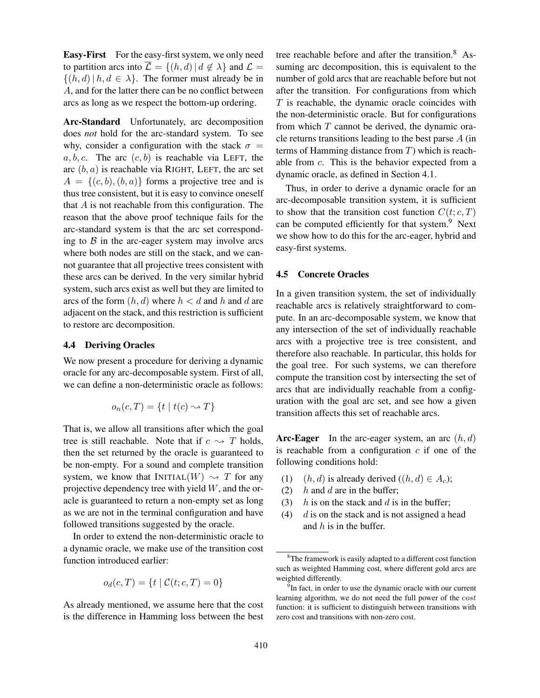Easy-First For the easy-first system, we only need to partition arcs into  $\overline{\mathcal{L}} = \{(h, d) | d \notin \lambda\}$  and  $\mathcal{L} =$  $\{(h, d) | h, d \in \lambda\}$ . The former must already be in A, and for the latter there can be no conflict between arcs as long as we respect the bottom-up ordering.

Arc-Standard Unfortunately, arc decomposition does *not* hold for the arc-standard system. To see why, consider a configuration with the stack  $\sigma =$ a, b, c. The arc  $(c, b)$  is reachable via LEFT, the arc  $(b, a)$  is reachable via RIGHT, LEFT, the arc set  $A = \{(c, b), (b, a)\}\)$  forms a projective tree and is thus tree consistent, but it is easy to convince oneself that  $A$  is not reachable from this configuration. The reason that the above proof technique fails for the arc-standard system is that the arc set corresponding to  $\beta$  in the arc-eager system may involve arcs where both nodes are still on the stack, and we cannot guarantee that all projective trees consistent with these arcs can be derived. In the very similar hybrid system, such arcs exist as well but they are limited to arcs of the form  $(h, d)$  where  $h < d$  and h and d are adjacent on the stack, and this restriction is sufficient to restore arc decomposition.

### 4.4 Deriving Oracles

We now present a procedure for deriving a dynamic oracle for any arc-decomposable system. First of all, we can define a non-deterministic oracle as follows:

$$
o_n(c,T) = \{ t \mid t(c) \sim T \}
$$

That is, we allow all transitions after which the goal tree is still reachable. Note that if  $c \sim T$  holds, then the set returned by the oracle is guaranteed to be non-empty. For a sound and complete transition system, we know that  $INITIAL(W) \rightsquigarrow T$  for any projective dependency tree with yield  $W$ , and the oracle is guaranteed to return a non-empty set as long as we are not in the terminal configuration and have followed transitions suggested by the oracle.

In order to extend the non-deterministic oracle to a dynamic oracle, we make use of the transition cost function introduced earlier:

$$
o_d(c, T) = \{ t \mid C(t; c, T) = 0 \}
$$

As already mentioned, we assume here that the cost is the difference in Hamming loss between the best tree reachable before and after the transition.<sup>8</sup> Assuming arc decomposition, this is equivalent to the number of gold arcs that are reachable before but not after the transition. For configurations from which  $T$  is reachable, the dynamic oracle coincides with the non-deterministic oracle. But for configurations from which  $T$  cannot be derived, the dynamic oracle returns transitions leading to the best parse A (in terms of Hamming distance from  $T$ ) which is reachable from c. This is the behavior expected from a dynamic oracle, as defined in Section 4.1.

Thus, in order to derive a dynamic oracle for an arc-decomposable transition system, it is sufficient to show that the transition cost function  $C(t; c, T)$ can be computed efficiently for that system.<sup>9</sup> Next we show how to do this for the arc-eager, hybrid and easy-first systems.

### 4.5 Concrete Oracles

In a given transition system, the set of individually reachable arcs is relatively straightforward to compute. In an arc-decomposable system, we know that any intersection of the set of individually reachable arcs with a projective tree is tree consistent, and therefore also reachable. In particular, this holds for the goal tree. For such systems, we can therefore compute the transition cost by intersecting the set of arcs that are individually reachable from a configuration with the goal arc set, and see how a given transition affects this set of reachable arcs.

Arc-Eager In the arc-eager system, an arc  $(h, d)$ is reachable from a configuration  $c$  if one of the following conditions hold:

- (1)  $(h, d)$  is already derived  $((h, d) \in A_c)$ ;<br>(2)  $h$  and  $d$  are in the buffer;
- $h$  and  $d$  are in the buffer;
- (3) h is on the stack and d is in the buffer;
- (4)  $d$  is on the stack and is not assigned a head and  $h$  is in the buffer.

 $8$ The framework is easily adapted to a different cost function such as weighted Hamming cost, where different gold arcs are weighted differently.

<sup>&</sup>lt;sup>9</sup>In fact, in order to use the dynamic oracle with our current learning algorithm, we do not need the full power of the cost function: it is sufficient to distinguish between transitions with zero cost and transitions with non-zero cost.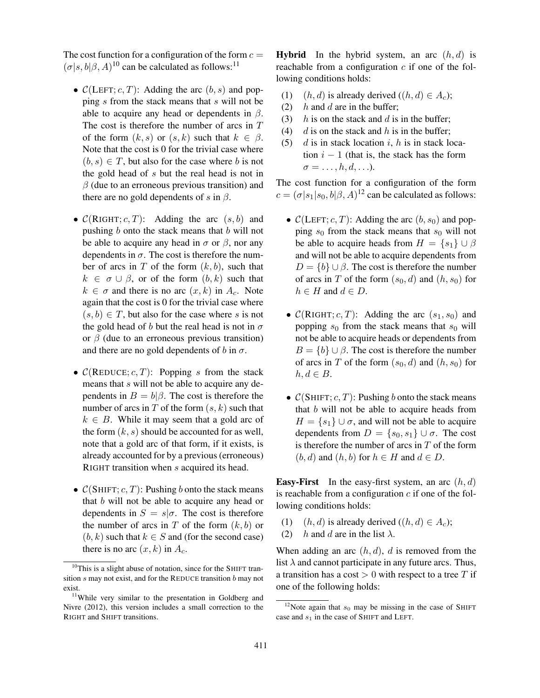The cost function for a configuration of the form  $c =$  $(\sigma|s, b|\beta, A)^{10}$  can be calculated as follows:<sup>11</sup>

- $\mathcal{C}(LEFT; c, T)$ : Adding the arc  $(b, s)$  and popping s from the stack means that s will not be able to acquire any head or dependents in  $\beta$ . The cost is therefore the number of arcs in  $T$ of the form  $(k, s)$  or  $(s, k)$  such that  $k \in \beta$ . Note that the cost is 0 for the trivial case where  $(b, s) \in T$ , but also for the case where b is not the gold head of s but the real head is not in  $\beta$  (due to an erroneous previous transition) and there are no gold dependents of s in  $\beta$ .
- $C(RIGHT; c, T)$ : Adding the arc  $(s, b)$  and pushing  $b$  onto the stack means that  $b$  will not be able to acquire any head in  $\sigma$  or  $\beta$ , nor any dependents in  $\sigma$ . The cost is therefore the number of arcs in  $T$  of the form  $(k, b)$ , such that  $k \in \sigma \cup \beta$ , or of the form  $(b, k)$  such that  $k \in \sigma$  and there is no arc  $(x, k)$  in  $A_c$ . Note again that the cost is 0 for the trivial case where  $(s, b) \in T$ , but also for the case where s is not the gold head of b but the real head is not in  $\sigma$ or  $\beta$  (due to an erroneous previous transition) and there are no gold dependents of b in  $\sigma$ .
- $\mathcal{C}(\mathsf{REDUCE}; c, T)$ : Popping s from the stack means that s will not be able to acquire any dependents in  $B = b | \beta$ . The cost is therefore the number of arcs in T of the form  $(s, k)$  such that  $k \in B$ . While it may seem that a gold arc of the form  $(k, s)$  should be accounted for as well, note that a gold arc of that form, if it exists, is already accounted for by a previous (erroneous) RIGHT transition when s acquired its head.
- $\mathcal{C}(\text{SHIFT}; c, T)$ : Pushing b onto the stack means that b will not be able to acquire any head or dependents in  $S = s | \sigma$ . The cost is therefore the number of arcs in  $T$  of the form  $(k, b)$  or  $(b, k)$  such that  $k \in S$  and (for the second case) there is no arc  $(x, k)$  in  $A_c$ .

**Hybrid** In the hybrid system, an arc  $(h, d)$  is reachable from a configuration  $c$  if one of the following conditions holds:

- (1)  $(h, d)$  is already derived  $((h, d) \in A_c)$ ;<br>(2)  $h$  and  $d$  are in the buffer;
- $h$  and  $d$  are in the buffer;
- (3)  $h$  is on the stack and d is in the buffer;
- (4) d is on the stack and h is in the buffer;
- (5) d is in stack location i, h is in stack location  $i - 1$  (that is, the stack has the form  $\sigma = \ldots, h, d, \ldots$ ).

The cost function for a configuration of the form  $c = (\sigma | s_1 | s_0, b | \beta, A)^{12}$  can be calculated as follows:

- $\mathcal{C}(LEFT; c, T)$ : Adding the arc  $(b, s_0)$  and popping  $s_0$  from the stack means that  $s_0$  will not be able to acquire heads from  $H = \{s_1\} \cup \beta$ and will not be able to acquire dependents from  $D = \{b\} \cup \beta$ . The cost is therefore the number of arcs in T of the form  $(s_0, d)$  and  $(h, s_0)$  for  $h \in H$  and  $d \in D$ .
- $\mathcal{C}(\text{RIGHT}; c, T)$ : Adding the arc  $(s_1, s_0)$  and popping  $s_0$  from the stack means that  $s_0$  will not be able to acquire heads or dependents from  $B = \{b\} \cup \beta$ . The cost is therefore the number of arcs in T of the form  $(s_0, d)$  and  $(h, s_0)$  for  $h, d \in B$ .
- $\mathcal{C}(\text{SHIFT}; c, T)$ : Pushing b onto the stack means that b will not be able to acquire heads from  $H = \{s_1\} \cup \sigma$ , and will not be able to acquire dependents from  $D = \{s_0, s_1\} \cup \sigma$ . The cost is therefore the number of arcs in  $T$  of the form  $(b, d)$  and  $(h, b)$  for  $h \in H$  and  $d \in D$ .

**Easy-First** In the easy-first system, an arc  $(h, d)$ is reachable from a configuration  $c$  if one of the following conditions holds:

- (1)  $(h, d)$  is already derived  $((h, d) \in A_c);$
- (2) h and d are in the list  $\lambda$ .

When adding an arc  $(h, d)$ , d is removed from the list  $\lambda$  and cannot participate in any future arcs. Thus, a transition has a cost  $> 0$  with respect to a tree T if one of the following holds:

 $10$ This is a slight abuse of notation, since for the SHIFT transition s may not exist, and for the REDUCE transition b may not exist.

 $11$ While very similar to the presentation in Goldberg and Nivre (2012), this version includes a small correction to the RIGHT and SHIFT transitions.

<sup>&</sup>lt;sup>12</sup>Note again that  $s_0$  may be missing in the case of SHIFT case and  $s_1$  in the case of SHIFT and LEFT.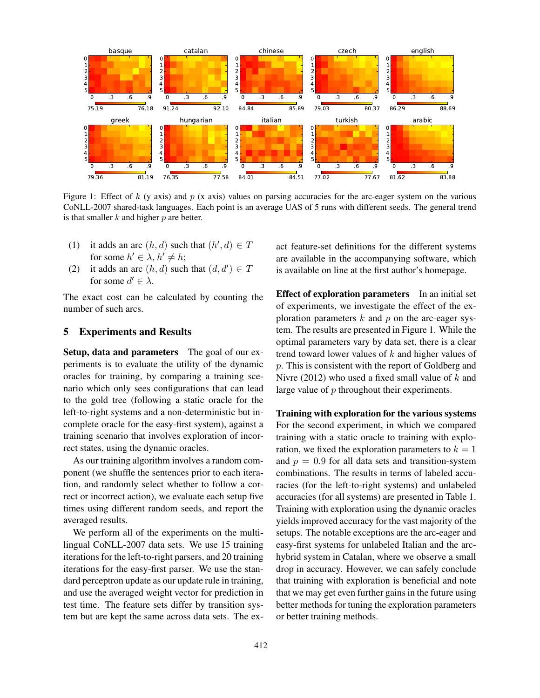

Figure 1: Effect of k (y axis) and p (x axis) values on parsing accuracies for the arc-eager system on the various CoNLL-2007 shared-task languages. Each point is an average UAS of 5 runs with different seeds. The general trend is that smaller  $k$  and higher  $p$  are better.

- (1) it adds an arc  $(h, d)$  such that  $(h', d) \in T$ for some  $h' \in \lambda$ ,  $h' \neq h$ ;
- (2) it adds an arc  $(h, d)$  such that  $(d, d') \in T$ for some  $d' \in \lambda$ .

The exact cost can be calculated by counting the number of such arcs.

## 5 Experiments and Results

Setup, data and parameters The goal of our experiments is to evaluate the utility of the dynamic oracles for training, by comparing a training scenario which only sees configurations that can lead to the gold tree (following a static oracle for the left-to-right systems and a non-deterministic but incomplete oracle for the easy-first system), against a training scenario that involves exploration of incorrect states, using the dynamic oracles.

As our training algorithm involves a random component (we shuffle the sentences prior to each iteration, and randomly select whether to follow a correct or incorrect action), we evaluate each setup five times using different random seeds, and report the averaged results.

We perform all of the experiments on the multilingual CoNLL-2007 data sets. We use 15 training iterations for the left-to-right parsers, and 20 training iterations for the easy-first parser. We use the standard perceptron update as our update rule in training, and use the averaged weight vector for prediction in test time. The feature sets differ by transition system but are kept the same across data sets. The exact feature-set definitions for the different systems are available in the accompanying software, which is available on line at the first author's homepage.

**Effect of exploration parameters** In an initial set of experiments, we investigate the effect of the exploration parameters  $k$  and  $p$  on the arc-eager system. The results are presented in Figure 1. While the optimal parameters vary by data set, there is a clear trend toward lower values of  $k$  and higher values of p. This is consistent with the report of Goldberg and Nivre (2012) who used a fixed small value of  $k$  and large value of p throughout their experiments.

Training with exploration for the various systems For the second experiment, in which we compared training with a static oracle to training with exploration, we fixed the exploration parameters to  $k = 1$ and  $p = 0.9$  for all data sets and transition-system combinations. The results in terms of labeled accuracies (for the left-to-right systems) and unlabeled accuracies (for all systems) are presented in Table 1. Training with exploration using the dynamic oracles yields improved accuracy for the vast majority of the setups. The notable exceptions are the arc-eager and easy-first systems for unlabeled Italian and the archybrid system in Catalan, where we observe a small drop in accuracy. However, we can safely conclude that training with exploration is beneficial and note that we may get even further gains in the future using better methods for tuning the exploration parameters or better training methods.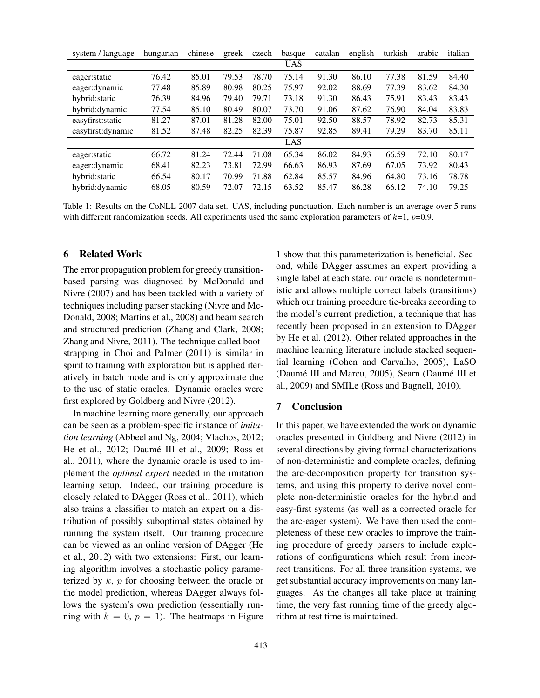| system / language  | hungarian | chinese | greek | czech | basque     | catalan | english | turkish | arabic | italian |
|--------------------|-----------|---------|-------|-------|------------|---------|---------|---------|--------|---------|
|                    |           |         |       |       | <b>UAS</b> |         |         |         |        |         |
| eager: static      | 76.42     | 85.01   | 79.53 | 78.70 | 75.14      | 91.30   | 86.10   | 77.38   | 81.59  | 84.40   |
| eager: dynamic     | 77.48     | 85.89   | 80.98 | 80.25 | 75.97      | 92.02   | 88.69   | 77.39   | 83.62  | 84.30   |
| hybrid: static     | 76.39     | 84.96   | 79.40 | 79.71 | 73.18      | 91.30   | 86.43   | 75.91   | 83.43  | 83.43   |
| hybrid: dynamic    | 77.54     | 85.10   | 80.49 | 80.07 | 73.70      | 91.06   | 87.62   | 76.90   | 84.04  | 83.83   |
| easyfirst: static  | 81.27     | 87.01   | 81.28 | 82.00 | 75.01      | 92.50   | 88.57   | 78.92   | 82.73  | 85.31   |
| easyfirst: dynamic | 81.52     | 87.48   | 82.25 | 82.39 | 75.87      | 92.85   | 89.41   | 79.29   | 83.70  | 85.11   |
|                    |           |         |       |       | LAS        |         |         |         |        |         |
| eager: static      | 66.72     | 81.24   | 72.44 | 71.08 | 65.34      | 86.02   | 84.93   | 66.59   | 72.10  | 80.17   |
| eager: dynamic     | 68.41     | 82.23   | 73.81 | 72.99 | 66.63      | 86.93   | 87.69   | 67.05   | 73.92  | 80.43   |
| hybrid: static     | 66.54     | 80.17   | 70.99 | 71.88 | 62.84      | 85.57   | 84.96   | 64.80   | 73.16  | 78.78   |
| hybrid: dynamic    | 68.05     | 80.59   | 72.07 | 72.15 | 63.52      | 85.47   | 86.28   | 66.12   | 74.10  | 79.25   |

Table 1: Results on the CoNLL 2007 data set. UAS, including punctuation. Each number is an average over 5 runs with different randomization seeds. All experiments used the same exploration parameters of  $k=1$ ,  $p=0.9$ .

### 6 Related Work

The error propagation problem for greedy transitionbased parsing was diagnosed by McDonald and Nivre (2007) and has been tackled with a variety of techniques including parser stacking (Nivre and Mc-Donald, 2008; Martins et al., 2008) and beam search and structured prediction (Zhang and Clark, 2008; Zhang and Nivre, 2011). The technique called bootstrapping in Choi and Palmer (2011) is similar in spirit to training with exploration but is applied iteratively in batch mode and is only approximate due to the use of static oracles. Dynamic oracles were first explored by Goldberg and Nivre (2012).

In machine learning more generally, our approach can be seen as a problem-specific instance of *imitation learning* (Abbeel and Ng, 2004; Vlachos, 2012; He et al., 2012; Daumé III et al., 2009; Ross et al., 2011), where the dynamic oracle is used to implement the *optimal expert* needed in the imitation learning setup. Indeed, our training procedure is closely related to DAgger (Ross et al., 2011), which also trains a classifier to match an expert on a distribution of possibly suboptimal states obtained by running the system itself. Our training procedure can be viewed as an online version of DAgger (He et al., 2012) with two extensions: First, our learning algorithm involves a stochastic policy parameterized by  $k$ ,  $p$  for choosing between the oracle or the model prediction, whereas DAgger always follows the system's own prediction (essentially running with  $k = 0$ ,  $p = 1$ ). The heatmaps in Figure

1 show that this parameterization is beneficial. Second, while DAgger assumes an expert providing a single label at each state, our oracle is nondeterministic and allows multiple correct labels (transitions) which our training procedure tie-breaks according to the model's current prediction, a technique that has recently been proposed in an extension to DAgger by He et al. (2012). Other related approaches in the machine learning literature include stacked sequential learning (Cohen and Carvalho, 2005), LaSO (Daumé III and Marcu, 2005), Searn (Daumé III et al., 2009) and SMILe (Ross and Bagnell, 2010).

## 7 Conclusion

In this paper, we have extended the work on dynamic oracles presented in Goldberg and Nivre (2012) in several directions by giving formal characterizations of non-deterministic and complete oracles, defining the arc-decomposition property for transition systems, and using this property to derive novel complete non-deterministic oracles for the hybrid and easy-first systems (as well as a corrected oracle for the arc-eager system). We have then used the completeness of these new oracles to improve the training procedure of greedy parsers to include explorations of configurations which result from incorrect transitions. For all three transition systems, we get substantial accuracy improvements on many languages. As the changes all take place at training time, the very fast running time of the greedy algorithm at test time is maintained.